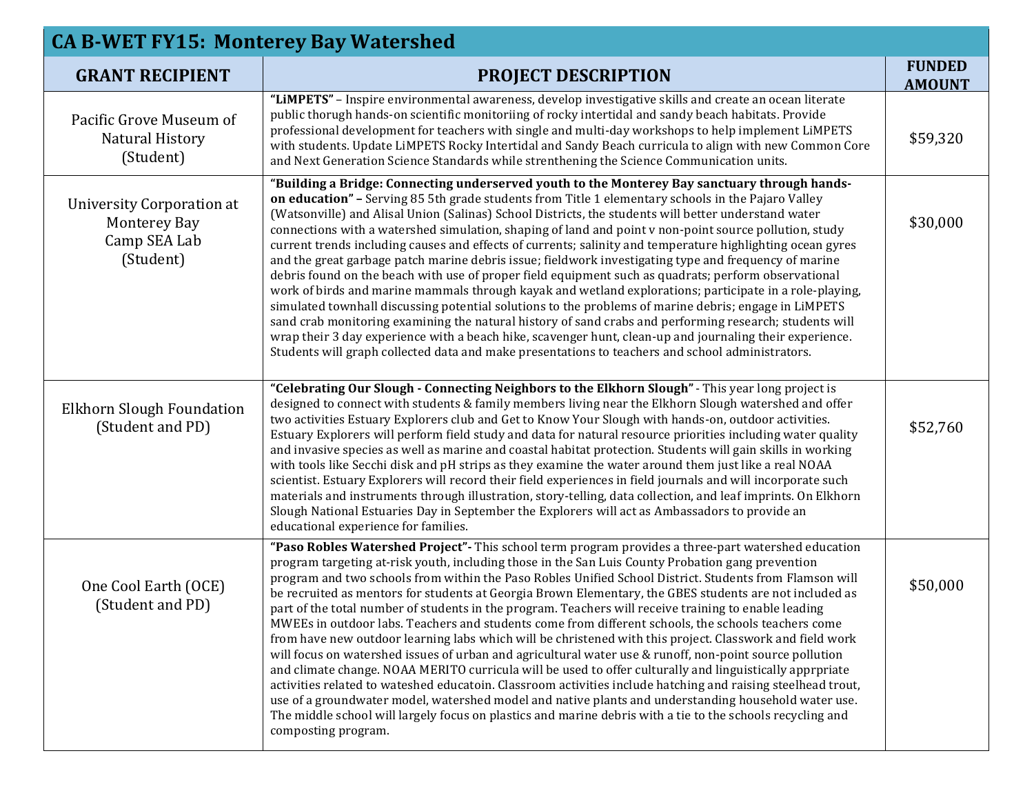| <b>CA B-WET FY15: Monterey Bay Watershed</b>                                         |                                                                                                                                                                                                                                                                                                                                                                                                                                                                                                                                                                                                                                                                                                                                                                                                                                                                                                                                                                                                                                                                                                                                                                                                                                                                                                                                                 |                                |  |
|--------------------------------------------------------------------------------------|-------------------------------------------------------------------------------------------------------------------------------------------------------------------------------------------------------------------------------------------------------------------------------------------------------------------------------------------------------------------------------------------------------------------------------------------------------------------------------------------------------------------------------------------------------------------------------------------------------------------------------------------------------------------------------------------------------------------------------------------------------------------------------------------------------------------------------------------------------------------------------------------------------------------------------------------------------------------------------------------------------------------------------------------------------------------------------------------------------------------------------------------------------------------------------------------------------------------------------------------------------------------------------------------------------------------------------------------------|--------------------------------|--|
| <b>GRANT RECIPIENT</b>                                                               | <b>PROJECT DESCRIPTION</b>                                                                                                                                                                                                                                                                                                                                                                                                                                                                                                                                                                                                                                                                                                                                                                                                                                                                                                                                                                                                                                                                                                                                                                                                                                                                                                                      | <b>FUNDED</b><br><b>AMOUNT</b> |  |
| Pacific Grove Museum of<br><b>Natural History</b><br>(Student)                       | "LIMPETS" - Inspire environmental awareness, develop investigative skills and create an ocean literate<br>public thorugh hands-on scientific monitoriing of rocky intertidal and sandy beach habitats. Provide<br>professional development for teachers with single and multi-day workshops to help implement LiMPETS<br>with students. Update LiMPETS Rocky Intertidal and Sandy Beach curricula to align with new Common Core<br>and Next Generation Science Standards while strenthening the Science Communication units.                                                                                                                                                                                                                                                                                                                                                                                                                                                                                                                                                                                                                                                                                                                                                                                                                    | \$59,320                       |  |
| <b>University Corporation at</b><br><b>Monterey Bay</b><br>Camp SEA Lab<br>(Student) | "Building a Bridge: Connecting underserved youth to the Monterey Bay sanctuary through hands-<br>on education" - Serving 85 5th grade students from Title 1 elementary schools in the Pajaro Valley<br>(Watsonville) and Alisal Union (Salinas) School Districts, the students will better understand water<br>connections with a watershed simulation, shaping of land and point v non-point source pollution, study<br>current trends including causes and effects of currents; salinity and temperature highlighting ocean gyres<br>and the great garbage patch marine debris issue; fieldwork investigating type and frequency of marine<br>debris found on the beach with use of proper field equipment such as quadrats; perform observational<br>work of birds and marine mammals through kayak and wetland explorations; participate in a role-playing,<br>simulated townhall discussing potential solutions to the problems of marine debris; engage in LiMPETS<br>sand crab monitoring examining the natural history of sand crabs and performing research; students will<br>wrap their 3 day experience with a beach hike, scavenger hunt, clean-up and journaling their experience.<br>Students will graph collected data and make presentations to teachers and school administrators.                                             | \$30,000                       |  |
| Elkhorn Slough Foundation<br>(Student and PD)                                        | "Celebrating Our Slough - Connecting Neighbors to the Elkhorn Slough" - This year long project is<br>designed to connect with students & family members living near the Elkhorn Slough watershed and offer<br>two activities Estuary Explorers club and Get to Know Your Slough with hands-on, outdoor activities.<br>Estuary Explorers will perform field study and data for natural resource priorities including water quality<br>and invasive species as well as marine and coastal habitat protection. Students will gain skills in working<br>with tools like Secchi disk and pH strips as they examine the water around them just like a real NOAA<br>scientist. Estuary Explorers will record their field experiences in field journals and will incorporate such<br>materials and instruments through illustration, story-telling, data collection, and leaf imprints. On Elkhorn<br>Slough National Estuaries Day in September the Explorers will act as Ambassadors to provide an<br>educational experience for families.                                                                                                                                                                                                                                                                                                            | \$52,760                       |  |
| One Cool Earth (OCE)<br>(Student and PD)                                             | "Paso Robles Watershed Project" - This school term program provides a three-part watershed education<br>program targeting at-risk youth, including those in the San Luis County Probation gang prevention<br>program and two schools from within the Paso Robles Unified School District. Students from Flamson will<br>be recruited as mentors for students at Georgia Brown Elementary, the GBES students are not included as<br>part of the total number of students in the program. Teachers will receive training to enable leading<br>MWEEs in outdoor labs. Teachers and students come from different schools, the schools teachers come<br>from have new outdoor learning labs which will be christened with this project. Classwork and field work<br>will focus on watershed issues of urban and agricultural water use & runoff, non-point source pollution<br>and climate change. NOAA MERITO curricula will be used to offer culturally and linguistically apprpriate<br>activities related to wateshed educatoin. Classroom activities include hatching and raising steelhead trout,<br>use of a groundwater model, watershed model and native plants and understanding household water use.<br>The middle school will largely focus on plastics and marine debris with a tie to the schools recycling and<br>composting program. | \$50,000                       |  |